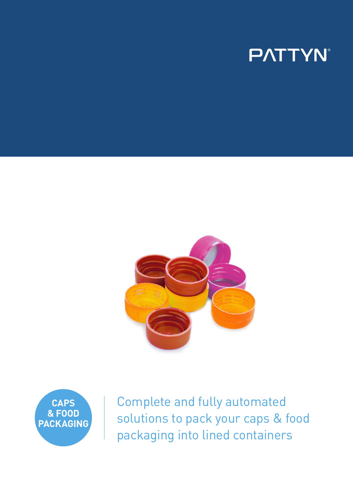# **PATTYN**





Complete and fully automated solutions to pack your caps & food packaging into lined containers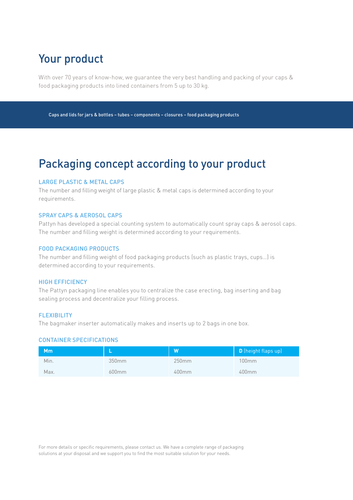## Your product

With over 70 years of know-how, we guarantee the very best handling and packing of your caps & food packaging products into lined containers from 5 up to 30 kg.

Caps and lids for jars & bottles – tubes – components – closures – food packaging products

### Packaging concept according to your product

#### LARGE PLASTIC & METAL CAPS

The number and filling weight of large plastic & metal caps is determined according to your requirements.

#### SPRAY CAPS & AEROSOL CAPS

Pattyn has developed a special counting system to automatically count spray caps & aerosol caps. The number and filling weight is determined according to your requirements.

#### FOOD PACKAGING PRODUCTS

The number and filling weight of food packaging products (such as plastic trays, cups…) is determined according to your requirements.

#### HIGH EFFICIENCY

The Pattyn packaging line enables you to centralize the case erecting, bag inserting and bag sealing process and decentralize your filling process.

#### **FLEXIBILITY**

The bagmaker inserter automatically makes and inserts up to 2 bags in one box.

#### CONTAINER SPECIFICATIONS

| Mm   |       | W        | D (height flaps up) |
|------|-------|----------|---------------------|
| Min. | 350mm | 250mm    | 100mm               |
| Max. | 600mm | $400$ mm | 400mm               |

For more details or specific requirements, please contact us. We have a complete range of packaging solutions at your disposal and we support you to find the most suitable solution for your needs.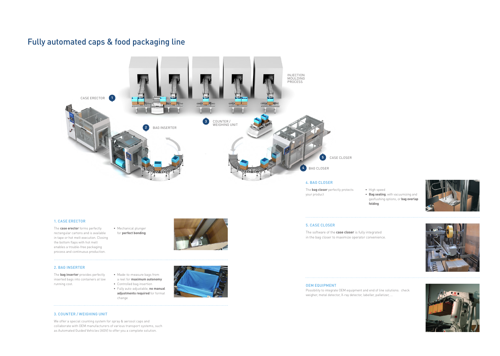### Fully automated caps & food packaging line

#### 1. CASE ERECTOR

The **case erector** forms perfectly rectangular cartons and is available in tape or hot melt execution. Closing the bottom flaps with hot melt enables a trouble-free packaging process and continuous production.

• Mechanical plunger for **perfect bonding**



#### 2. BAG INSERTER

The **bag inserter** provides perfectly inserted bags into containers at low running cost.

• Made-to-measure bags from

- a reel for **maximum autonomy** • Controlled bag insertion • Fully auto-adjustable, **no manual**
- **adjustments required** for format change



#### 3. COUNTER / WEIGHING UNIT

We offer a special counting system for spray & aerosol caps and collaborate with OEM manufacturers of various transport systems, such as Automated Guided Vehicles (AGV) to offer you a complete solution.

The **bag closer** perfectly protects your product

• High speed • **Bag sealing**, with vacuumizing and gasflushing options, or **bag overlap** 

**folding**

5. CASE CLOSER

The software of the **case closer** is fully integrated in the bag closer to maximize operator convenience.









#### OEM EQUIPMENT

Possibility to integrate OEM equipment and end of line solutions: check weigher, metal detector, X-ray detector, labeller, palletizer, ...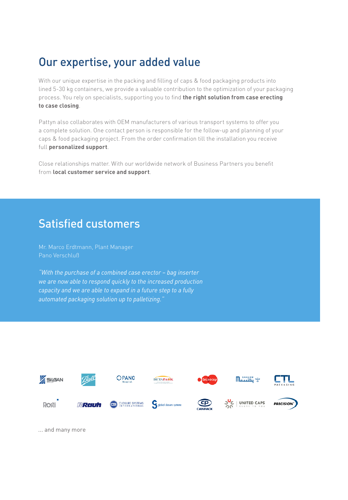### Our expertise, your added value

With our unique expertise in the packing and filling of caps & food packaging products into lined 5-30 kg containers, we provide a valuable contribution to the optimization of your packaging process. You rely on specialists, supporting you to find **the right solution from case erecting to case closing**.

Pattyn also collaborates with OEM manufacturers of various transport systems to offer you a complete solution. One contact person is responsible for the follow-up and planning of your caps & food packaging project. From the order confirmation till the installation you receive full **personalized support**.

Close relationships matter. With our worldwide network of Business Partners you benefit from **local customer service and support**.

### Satisfied customers

Mr. Marco Erdtmann, Plant Manager Pano Verschluß

*"With the purchase of a combined case erector – bag inserter we are now able to respond quickly to the increased production capacity and we are able to expand in a future step to a fully automated packaging solution up to palletizing."*



... and many more